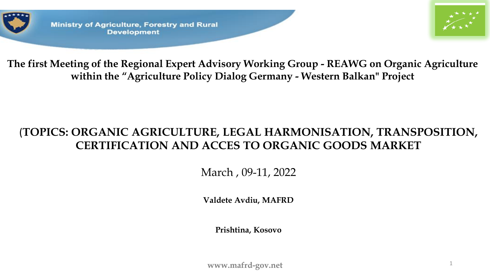

**Ministry of Agriculture, Forestry and Rural Development** 



**The first Meeting of the Regional Expert Advisory Working Group - REAWG on Organic Agriculture within the "Agriculture Policy Dialog Germany - Western Balkan" Project**

## (**TOPICS: ORGANIC AGRICULTURE, LEGAL HARMONISATION, TRANSPOSITION, CERTIFICATION AND ACCES TO ORGANIC GOODS MARKET**

March , 09-11, 2022

**Valdete Avdiu, MAFRD**

**Prishtina, Kosovo**

www.mafrd-gov.net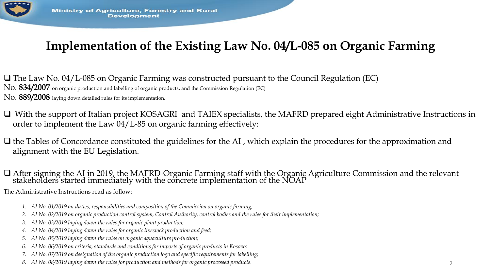

# **Implementation of the Existing Law No. 04/L-085 on Organic Farming**

❑ The Law No. 04/L-085 on Organic Farming was constructed pursuant to the Council Regulation (EC) No. **834/2007** on organic production and labelling of organic products, and the Commission Regulation (EC) No. **889/2008** laying down detailed rules for its implementation.

❑ With the support of Italian project KOSAGRI and TAIEX specialists, the MAFRD prepared eight Administrative Instructions in order to implement the Law 04/L-85 on organic farming effectively:

❑ the Tables of Concordance constituted the guidelines for the AI , which explain the procedures for the approximation and alignment with the EU Legislation.

❑ After signing the AI in 2019, the MAFRD-Organic Farming staff with the Organic Agriculture Commission and the relevant stakeholders started immediately with the concrete implementation of the NOAP

The Administrative Instructions read as follow:

- *1. AI No. 01/2019 on duties, responsibilities and composition of the Commission on organic farming;*
- *2. AI No. 02/2019 on organic production control system, Control Authority, control bodies and the rules for their implementation;*
- *3. AI No. 03/2019 laying down the rules for organic plant production;*
- *4. AI No. 04/2019 laying down the rules for organic livestock production and feed;*
- *5. AI No. 05/2019 laying down the rules on organic aquaculture production;*
- *6. AI No. 06/2019 on criteria, standards and conditions for imports of organic products in Kosovo;*
- *7. AI No. 07/2019 on designation of the organic production logo and specific requirements for labelling;*
- *8. AI No. 08/2019 laying down the rules for production and methods for organic processed products.*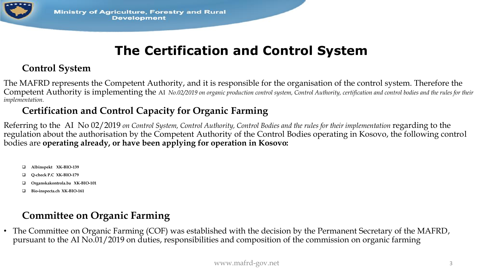

# **The Certification and Control System**

#### **Control System**

The MAFRD represents the Competent Authority, and it is responsible for the organisation of the control system. Therefore the Competent Authority is implementing the AI *No.02/2019 on organic production control system, Control Authority, certification and control bodies and the rules for their implementation.* 

#### **Certification and Control Capacity for Organic Farming**

Referring to the AI No 02/2019 *on Control System, Control Authority, Control Bodies and the rules for their implementation* regarding to the regulation about the authorisation by the Competent Authority of the Control Bodies operating in Kosovo, the following control bodies are **operating already, or have been applying for operation in Kosovo:**

- ❑ **Albinspekt XK-BIO-139**
- ❑ **Q-check P.C XK-BIO-179**
- ❑ **Organskakontrola.ba XK-BIO-101**
- ❑ **Bio-inspecta.ch XK-BIO-161**

## **Committee on Organic Farming**

• The Committee on Organic Farming (COF) was established with the decision by the Permanent Secretary of the MAFRD, pursuant to the AI No.01/2019 on duties, responsibilities and composition of the commission on organic farming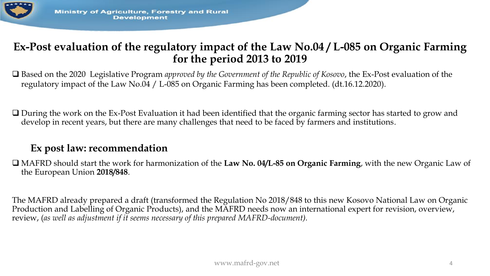

### **Ex-Post evaluation of the regulatory impact of the Law No.04 / L-085 on Organic Farming for the period 2013 to 2019**

❑ Based on the 2020 Legislative Program *approved by the Government of the Republic of Kosovo*, the Ex-Post evaluation of the regulatory impact of the Law No.04 / L-085 on Organic Farming has been completed. (dt.16.12.2020).

❑ During the work on the Ex-Post Evaluation it had been identified that the organic farming sector has started to grow and develop in recent years, but there are many challenges that need to be faced by farmers and institutions.

### **Ex post law: recommendation**

❑ MAFRD should start the work for harmonization of the **Law No. 04/L-85 on Organic Farming**, with the new Organic Law of the European Union **2018/848**.

The MAFRD already prepared a draft (transformed the Regulation No 2018/848 to this new Kosovo National Law on Organic Production and Labelling of Organic Products), and the MAFRD needs now an international expert for revision, overview, review, (*as well as adjustment if it seems necessary of this prepared MAFRD-document).*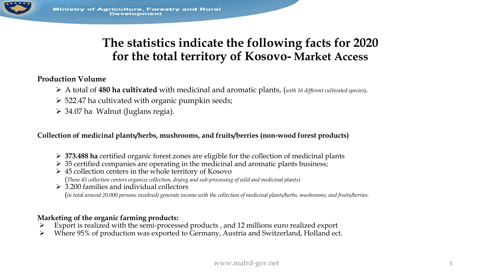

## **The statistics indicate the following facts for 2020 for the total territory of Kosovo- Market Access**

#### **Production Volume**

- ➢ A total of **480 ha cultivated** with medicinal and aromatic plants, (*with 16 different cultivated species*).
- $\geq$  522.47 ha cultivated with organic pumpkin seeds;
- ➢ 34.07 ha Walnut (Juglans regia).

**Collection of medicinal plants/herbs, mushrooms, and fruits/berries (non-wood forest products)**

- ➢ **373.488 ha** certified organic forest zones are eligible for the collection of medicinal plants
- $\geq$  35 certified companies are operating in the medicinal and aromatic plants business;
- $\triangleright$  45 collection centers in the whole territory of Kosovo (*These 45 collection centers organize collection, drying and sub-processing of wild and medicinal plants)*
- $\geq 3.200$  families and individual collectors (in total around 20.000 persons involved) generate income with the collection of medicinal plants/herbs, mushrooms, and fruits/berries.

#### **Marketing of the organic farming products:**

- ➢ Export is realized with the semi-processed products , and 12 millions euro realized export
- ➢ Where 95% of production was exported to Germany, Austria and Switzerland, Holland ect.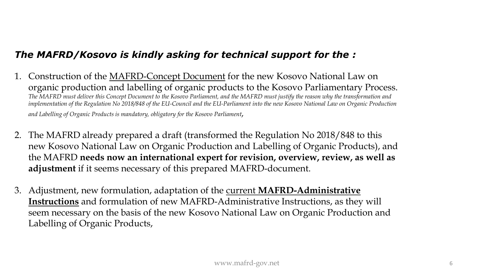#### *The MAFRD/Kosovo is kindly asking for technical support for the :*

- 1. Construction of the MAFRD-Concept Document for the new Kosovo National Law on organic production and labelling of organic products to the Kosovo Parliamentary Process. *The MAFRD must deliver this Concept Document to the Kosovo Parliament, and the MAFRD must justify the reason why the transformation and implementation of the Regulation No 2018/848 of the EU-Council and the EU-Parliament into the new Kosovo National Law on Organic Production and Labelling of Organic Products is mandatory, obligatory for the Kosovo Parliament,*
- 2. The MAFRD already prepared a draft (transformed the Regulation No 2018/848 to this new Kosovo National Law on Organic Production and Labelling of Organic Products), and the MAFRD **needs now an international expert for revision, overview, review, as well as adjustment** if it seems necessary of this prepared MAFRD-document.
- 3. Adjustment, new formulation, adaptation of the current **MAFRD-Administrative Instructions** and formulation of new MAFRD-Administrative Instructions, as they will seem necessary on the basis of the new Kosovo National Law on Organic Production and Labelling of Organic Products,